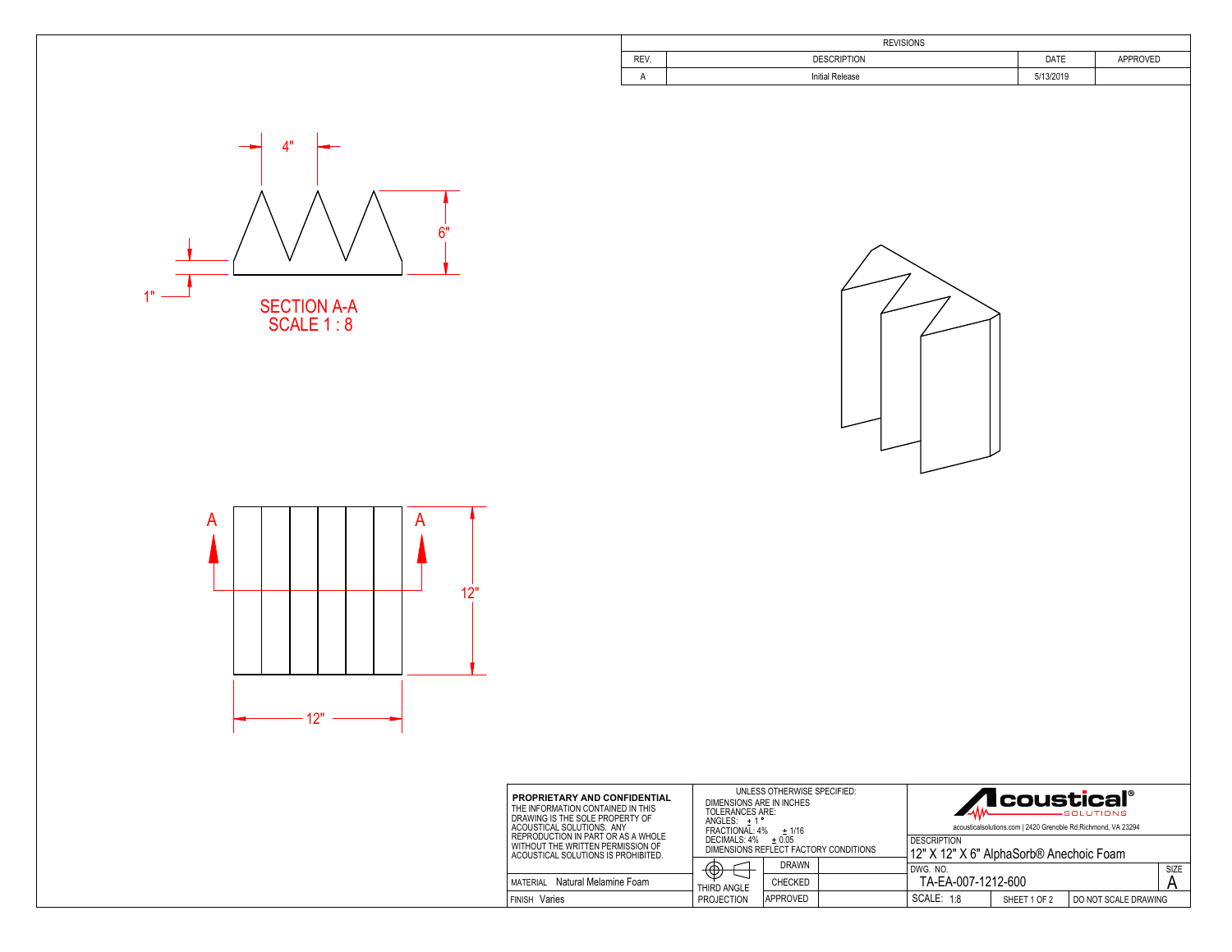|      | <b>REVISIONS</b>       |           |                 |  |  |  |  |  |
|------|------------------------|-----------|-----------------|--|--|--|--|--|
| REV. | <b>DESCRIPTION</b>     | DATE      | <b>APPROVED</b> |  |  |  |  |  |
| . .  | <b>Initial Release</b> | 5/13/2019 |                 |  |  |  |  |  |







| <b>PROPRIETARY AND CONFIDENTIAL</b><br>THE INFORMATION CONTAINED IN THIS<br>DRAWING IS THE SOLE PROPERTY OF<br>ACOUSTICAL SOLUTIONS. ANY | UNLESS OTHERWISE SPECIFIED:<br>DIMENSIONS ARE IN INCHES<br>TOLERANCES ARE:<br>$ANGLES: +1°$<br>FRACTIONAL: 4%<br>$+1/16$<br>DECIMALS: 4%<br>$+0.05$<br>DIMENSIONS REFLECT FACTORY CONDITIONS |              |  | <b>11</b> coustical®<br>-SOLUTIONS<br>acousticalsolutions.com   2420 Grenoble Rd.Richmond, VA 23294 |              |                      |  |
|------------------------------------------------------------------------------------------------------------------------------------------|----------------------------------------------------------------------------------------------------------------------------------------------------------------------------------------------|--------------|--|-----------------------------------------------------------------------------------------------------|--------------|----------------------|--|
| REPRODUCTION IN PART OR AS A WHOLE<br>WITHOUT THE WRITTEN PERMISSION OF<br>ACOUSTICAL SOLUTIONS IS PROHIBITED.                           |                                                                                                                                                                                              |              |  | <b>DESCRIPTION</b><br>12" X 12" X 6" AlphaSorb® Anechoic Foam                                       |              |                      |  |
|                                                                                                                                          | Ή<br>P,                                                                                                                                                                                      | <b>DRAWN</b> |  | SIZE<br>DWG. NO.                                                                                    |              |                      |  |
| Natural Melamine Foam<br>MATERIAL                                                                                                        | THIRD ANGLE                                                                                                                                                                                  | CHECKED      |  | TA-EA-007-1212-600                                                                                  |              |                      |  |
| <b>FINISH Varies</b>                                                                                                                     | <b>PROJECTION</b>                                                                                                                                                                            | IAPPROVED    |  | <b>SCALE: 1:8</b>                                                                                   | SHEET 1 OF 2 | DO NOT SCALE DRAWING |  |